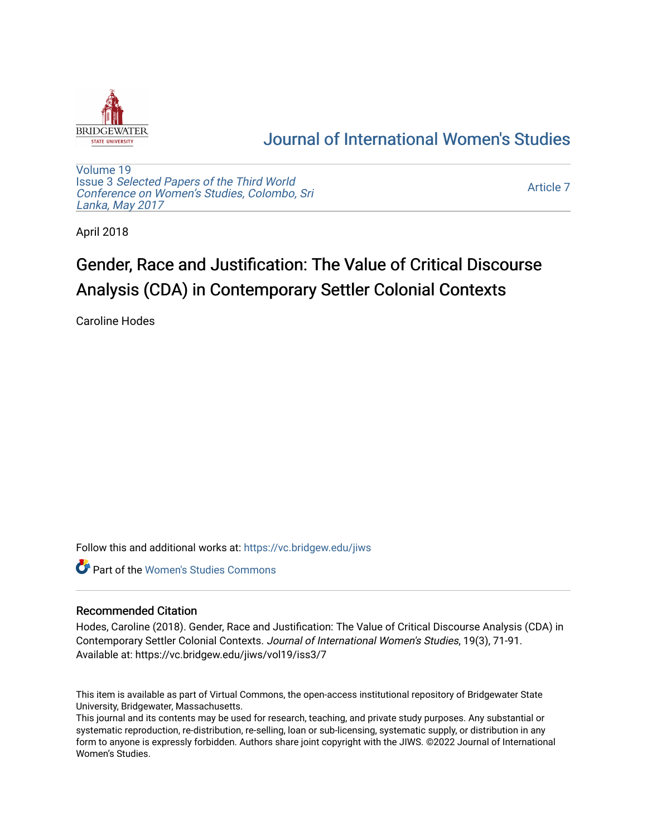

## [Journal of International Women's Studies](https://vc.bridgew.edu/jiws)

[Volume 19](https://vc.bridgew.edu/jiws/vol19) Issue 3 [Selected Papers of the Third World](https://vc.bridgew.edu/jiws/vol19/iss3) [Conference on Women's Studies, Colombo, Sri](https://vc.bridgew.edu/jiws/vol19/iss3)  [Lanka, May 2017](https://vc.bridgew.edu/jiws/vol19/iss3) 

[Article 7](https://vc.bridgew.edu/jiws/vol19/iss3/7) 

April 2018

# Gender, Race and Justification: The Value of Critical Discourse Analysis (CDA) in Contemporary Settler Colonial Contexts

Caroline Hodes

Follow this and additional works at: [https://vc.bridgew.edu/jiws](https://vc.bridgew.edu/jiws?utm_source=vc.bridgew.edu%2Fjiws%2Fvol19%2Fiss3%2F7&utm_medium=PDF&utm_campaign=PDFCoverPages)

**C** Part of the Women's Studies Commons

#### Recommended Citation

Hodes, Caroline (2018). Gender, Race and Justification: The Value of Critical Discourse Analysis (CDA) in Contemporary Settler Colonial Contexts. Journal of International Women's Studies, 19(3), 71-91. Available at: https://vc.bridgew.edu/jiws/vol19/iss3/7

This item is available as part of Virtual Commons, the open-access institutional repository of Bridgewater State University, Bridgewater, Massachusetts.

This journal and its contents may be used for research, teaching, and private study purposes. Any substantial or systematic reproduction, re-distribution, re-selling, loan or sub-licensing, systematic supply, or distribution in any form to anyone is expressly forbidden. Authors share joint copyright with the JIWS. ©2022 Journal of International Women's Studies.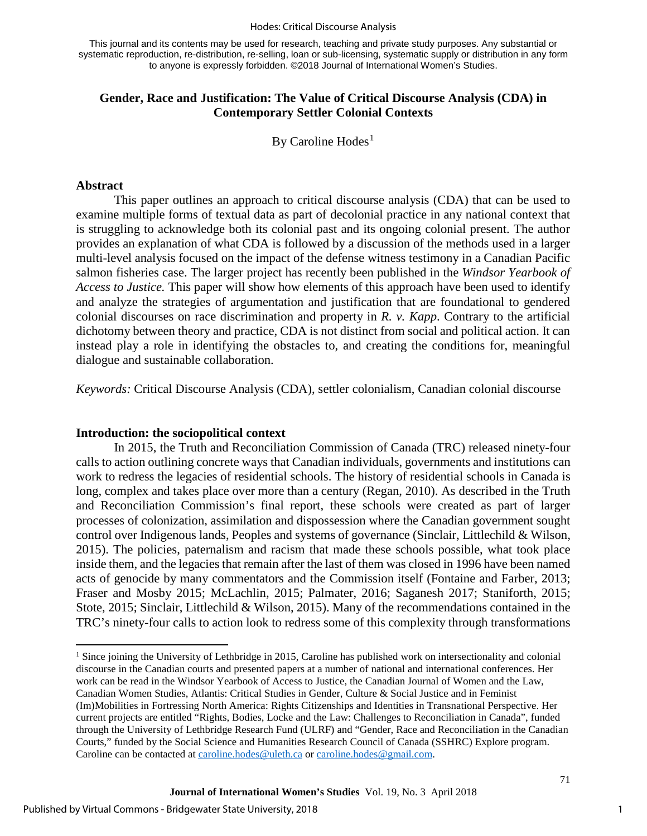#### Hodes: Critical Discourse Analysis

This journal and its contents may be used for research, teaching and private study purposes. Any substantial or systematic reproduction, re-distribution, re-selling, loan or sub-licensing, systematic supply or distribution in any form to anyone is expressly forbidden. ©2018 Journal of International Women's Studies.

## **Gender, Race and Justification: The Value of Critical Discourse Analysis (CDA) in Contemporary Settler Colonial Contexts**

By Caroline  $Hodes<sup>1</sup>$  $Hodes<sup>1</sup>$  $Hodes<sup>1</sup>$ 

#### **Abstract**

 $\overline{a}$ 

This paper outlines an approach to critical discourse analysis (CDA) that can be used to examine multiple forms of textual data as part of decolonial practice in any national context that is struggling to acknowledge both its colonial past and its ongoing colonial present. The author provides an explanation of what CDA is followed by a discussion of the methods used in a larger multi-level analysis focused on the impact of the defense witness testimony in a Canadian Pacific salmon fisheries case. The larger project has recently been published in the *Windsor Yearbook of Access to Justice.* This paper will show how elements of this approach have been used to identify and analyze the strategies of argumentation and justification that are foundational to gendered colonial discourses on race discrimination and property in *R. v. Kapp*. Contrary to the artificial dichotomy between theory and practice, CDA is not distinct from social and political action. It can instead play a role in identifying the obstacles to, and creating the conditions for, meaningful dialogue and sustainable collaboration.

*Keywords:* Critical Discourse Analysis (CDA), settler colonialism, Canadian colonial discourse

#### **Introduction: the sociopolitical context**

In 2015, the Truth and Reconciliation Commission of Canada (TRC) released ninety-four calls to action outlining concrete ways that Canadian individuals, governments and institutions can work to redress the legacies of residential schools. The history of residential schools in Canada is long, complex and takes place over more than a century (Regan, 2010). As described in the Truth and Reconciliation Commission's final report, these schools were created as part of larger processes of colonization, assimilation and dispossession where the Canadian government sought control over Indigenous lands, Peoples and systems of governance (Sinclair, Littlechild & Wilson, 2015). The policies, paternalism and racism that made these schools possible, what took place inside them, and the legacies that remain after the last of them was closed in 1996 have been named acts of genocide by many commentators and the Commission itself (Fontaine and Farber, 2013; Fraser and Mosby 2015; McLachlin, 2015; Palmater, 2016; Saganesh 2017; Staniforth, 2015; Stote, 2015; Sinclair, Littlechild & Wilson, 2015). Many of the recommendations contained in the TRC's ninety-four calls to action look to redress some of this complexity through transformations

<span id="page-1-0"></span><sup>&</sup>lt;sup>1</sup> Since joining the University of Lethbridge in 2015, Caroline has published work on intersectionality and colonial discourse in the Canadian courts and presented papers at a number of national and international conferences. Her work can be read in the Windsor Yearbook of Access to Justice, the Canadian Journal of Women and the Law, Canadian Women Studies, Atlantis: Critical Studies in Gender, Culture & Social Justice and in Feminist (Im)Mobilities in Fortressing North America: Rights Citizenships and Identities in Transnational Perspective. Her current projects are entitled "Rights, Bodies, Locke and the Law: Challenges to Reconciliation in Canada", funded through the University of Lethbridge Research Fund (ULRF) and "Gender, Race and Reconciliation in the Canadian Courts," funded by the Social Science and Humanities Research Council of Canada (SSHRC) Explore program. Caroline can be contacted at [caroline.hodes@uleth.ca](mailto:caroline.hodes@uleth.ca) or caroline.hodes@gmail.com.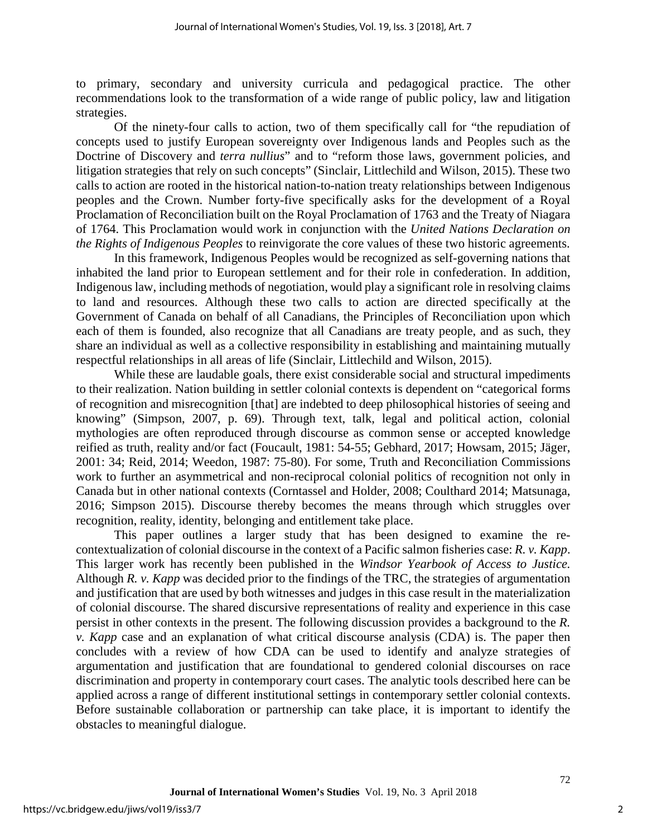to primary, secondary and university curricula and pedagogical practice. The other recommendations look to the transformation of a wide range of public policy, law and litigation strategies.

Of the ninety-four calls to action, two of them specifically call for "the repudiation of concepts used to justify European sovereignty over Indigenous lands and Peoples such as the Doctrine of Discovery and *terra nullius*" and to "reform those laws, government policies, and litigation strategies that rely on such concepts" (Sinclair, Littlechild and Wilson, 2015). These two calls to action are rooted in the historical nation-to-nation treaty relationships between Indigenous peoples and the Crown. Number forty-five specifically asks for the development of a Royal Proclamation of Reconciliation built on the Royal Proclamation of 1763 and the Treaty of Niagara of 1764. This Proclamation would work in conjunction with the *United Nations Declaration on the Rights of Indigenous Peoples* to reinvigorate the core values of these two historic agreements.

In this framework, Indigenous Peoples would be recognized as self-governing nations that inhabited the land prior to European settlement and for their role in confederation. In addition, Indigenous law, including methods of negotiation, would play a significant role in resolving claims to land and resources. Although these two calls to action are directed specifically at the Government of Canada on behalf of all Canadians, the Principles of Reconciliation upon which each of them is founded, also recognize that all Canadians are treaty people, and as such, they share an individual as well as a collective responsibility in establishing and maintaining mutually respectful relationships in all areas of life (Sinclair, Littlechild and Wilson, 2015).

While these are laudable goals, there exist considerable social and structural impediments to their realization. Nation building in settler colonial contexts is dependent on "categorical forms of recognition and misrecognition [that] are indebted to deep philosophical histories of seeing and knowing" (Simpson, 2007, p. 69). Through text, talk, legal and political action, colonial mythologies are often reproduced through discourse as common sense or accepted knowledge reified as truth, reality and/or fact (Foucault, 1981: 54-55; Gebhard, 2017; Howsam, 2015; Jäger, 2001: 34; Reid, 2014; Weedon, 1987: 75-80). For some, Truth and Reconciliation Commissions work to further an asymmetrical and non-reciprocal colonial politics of recognition not only in Canada but in other national contexts (Corntassel and Holder, 2008; Coulthard 2014; Matsunaga, 2016; Simpson 2015). Discourse thereby becomes the means through which struggles over recognition, reality, identity, belonging and entitlement take place.

This paper outlines a larger study that has been designed to examine the recontextualization of colonial discourse in the context of a Pacific salmon fisheries case: *R. v. Kapp*. This larger work has recently been published in the *Windsor Yearbook of Access to Justice.*  Although *R. v. Kapp* was decided prior to the findings of the TRC, the strategies of argumentation and justification that are used by both witnesses and judges in this case result in the materialization of colonial discourse. The shared discursive representations of reality and experience in this case persist in other contexts in the present. The following discussion provides a background to the *R. v. Kapp* case and an explanation of what critical discourse analysis (CDA) is. The paper then concludes with a review of how CDA can be used to identify and analyze strategies of argumentation and justification that are foundational to gendered colonial discourses on race discrimination and property in contemporary court cases. The analytic tools described here can be applied across a range of different institutional settings in contemporary settler colonial contexts. Before sustainable collaboration or partnership can take place, it is important to identify the obstacles to meaningful dialogue.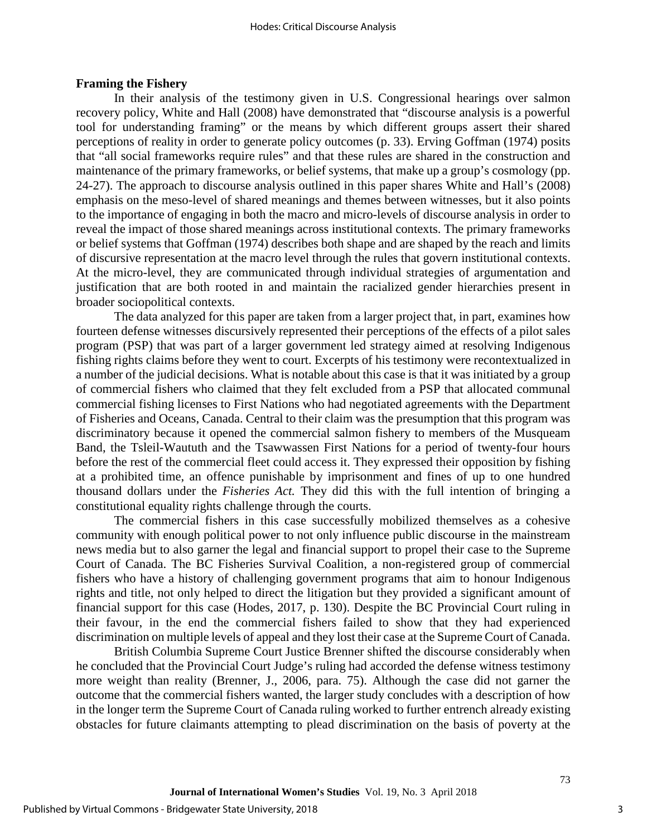#### **Framing the Fishery**

In their analysis of the testimony given in U.S. Congressional hearings over salmon recovery policy, White and Hall (2008) have demonstrated that "discourse analysis is a powerful tool for understanding framing" or the means by which different groups assert their shared perceptions of reality in order to generate policy outcomes (p. 33). Erving Goffman (1974) posits that "all social frameworks require rules" and that these rules are shared in the construction and maintenance of the primary frameworks, or belief systems, that make up a group's cosmology (pp. 24-27). The approach to discourse analysis outlined in this paper shares White and Hall's (2008) emphasis on the meso-level of shared meanings and themes between witnesses, but it also points to the importance of engaging in both the macro and micro-levels of discourse analysis in order to reveal the impact of those shared meanings across institutional contexts. The primary frameworks or belief systems that Goffman (1974) describes both shape and are shaped by the reach and limits of discursive representation at the macro level through the rules that govern institutional contexts. At the micro-level, they are communicated through individual strategies of argumentation and justification that are both rooted in and maintain the racialized gender hierarchies present in broader sociopolitical contexts.

The data analyzed for this paper are taken from a larger project that, in part, examines how fourteen defense witnesses discursively represented their perceptions of the effects of a pilot sales program (PSP) that was part of a larger government led strategy aimed at resolving Indigenous fishing rights claims before they went to court. Excerpts of his testimony were recontextualized in a number of the judicial decisions. What is notable about this case is that it was initiated by a group of commercial fishers who claimed that they felt excluded from a PSP that allocated communal commercial fishing licenses to First Nations who had negotiated agreements with the Department of Fisheries and Oceans, Canada. Central to their claim was the presumption that this program was discriminatory because it opened the commercial salmon fishery to members of the Musqueam Band, the Tsleil-Waututh and the Tsawwassen First Nations for a period of twenty-four hours before the rest of the commercial fleet could access it. They expressed their opposition by fishing at a prohibited time, an offence punishable by imprisonment and fines of up to one hundred thousand dollars under the *Fisheries Act.* They did this with the full intention of bringing a constitutional equality rights challenge through the courts.

The commercial fishers in this case successfully mobilized themselves as a cohesive community with enough political power to not only influence public discourse in the mainstream news media but to also garner the legal and financial support to propel their case to the Supreme Court of Canada. The BC Fisheries Survival Coalition, a non-registered group of commercial fishers who have a history of challenging government programs that aim to honour Indigenous rights and title, not only helped to direct the litigation but they provided a significant amount of financial support for this case (Hodes, 2017, p. 130). Despite the BC Provincial Court ruling in their favour, in the end the commercial fishers failed to show that they had experienced discrimination on multiple levels of appeal and they lost their case at the Supreme Court of Canada.

British Columbia Supreme Court Justice Brenner shifted the discourse considerably when he concluded that the Provincial Court Judge's ruling had accorded the defense witness testimony more weight than reality (Brenner, J., 2006, para. 75). Although the case did not garner the outcome that the commercial fishers wanted, the larger study concludes with a description of how in the longer term the Supreme Court of Canada ruling worked to further entrench already existing obstacles for future claimants attempting to plead discrimination on the basis of poverty at the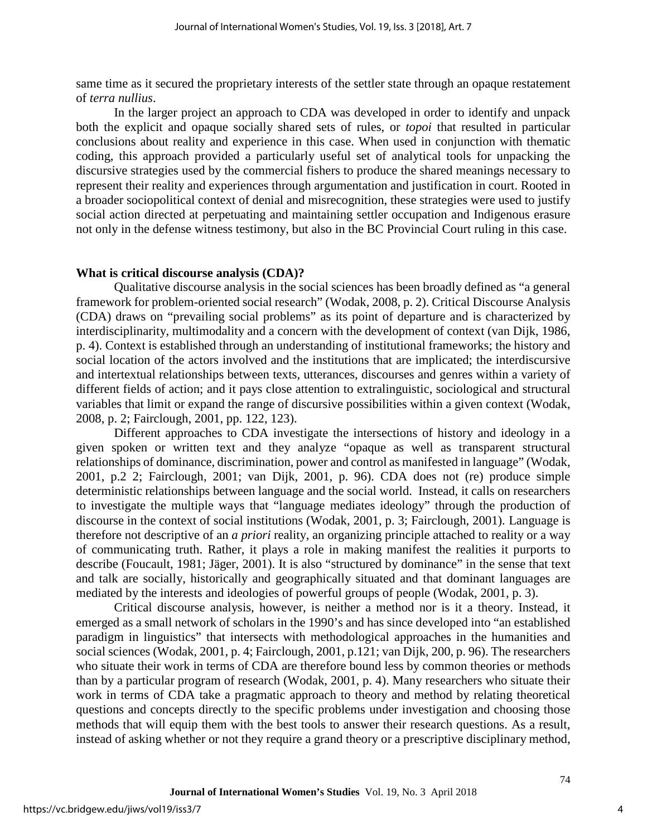same time as it secured the proprietary interests of the settler state through an opaque restatement of *terra nullius*.

In the larger project an approach to CDA was developed in order to identify and unpack both the explicit and opaque socially shared sets of rules, or *topoi* that resulted in particular conclusions about reality and experience in this case. When used in conjunction with thematic coding, this approach provided a particularly useful set of analytical tools for unpacking the discursive strategies used by the commercial fishers to produce the shared meanings necessary to represent their reality and experiences through argumentation and justification in court. Rooted in a broader sociopolitical context of denial and misrecognition, these strategies were used to justify social action directed at perpetuating and maintaining settler occupation and Indigenous erasure not only in the defense witness testimony, but also in the BC Provincial Court ruling in this case.

#### **What is critical discourse analysis (CDA)?**

Qualitative discourse analysis in the social sciences has been broadly defined as "a general framework for problem-oriented social research" (Wodak, 2008, p. 2). Critical Discourse Analysis (CDA) draws on "prevailing social problems" as its point of departure and is characterized by interdisciplinarity, multimodality and a concern with the development of context (van Dijk, 1986, p. 4). Context is established through an understanding of institutional frameworks; the history and social location of the actors involved and the institutions that are implicated; the interdiscursive and intertextual relationships between texts, utterances, discourses and genres within a variety of different fields of action; and it pays close attention to extralinguistic, sociological and structural variables that limit or expand the range of discursive possibilities within a given context (Wodak, 2008, p. 2; Fairclough, 2001, pp. 122, 123).

Different approaches to CDA investigate the intersections of history and ideology in a given spoken or written text and they analyze "opaque as well as transparent structural relationships of dominance, discrimination, power and control as manifested in language" (Wodak, 2001, p.2 2; Fairclough, 2001; van Dijk, 2001, p. 96). CDA does not (re) produce simple deterministic relationships between language and the social world. Instead, it calls on researchers to investigate the multiple ways that "language mediates ideology" through the production of discourse in the context of social institutions (Wodak, 2001, p. 3; Fairclough, 2001). Language is therefore not descriptive of an *a priori* reality, an organizing principle attached to reality or a way of communicating truth. Rather, it plays a role in making manifest the realities it purports to describe (Foucault, 1981; Jäger, 2001). It is also "structured by dominance" in the sense that text and talk are socially, historically and geographically situated and that dominant languages are mediated by the interests and ideologies of powerful groups of people (Wodak, 2001, p. 3).

Critical discourse analysis, however, is neither a method nor is it a theory. Instead, it emerged as a small network of scholars in the 1990's and has since developed into "an established paradigm in linguistics" that intersects with methodological approaches in the humanities and social sciences (Wodak, 2001, p. 4; Fairclough, 2001, p.121; van Dijk, 200, p. 96). The researchers who situate their work in terms of CDA are therefore bound less by common theories or methods than by a particular program of research (Wodak, 2001, p. 4). Many researchers who situate their work in terms of CDA take a pragmatic approach to theory and method by relating theoretical questions and concepts directly to the specific problems under investigation and choosing those methods that will equip them with the best tools to answer their research questions. As a result, instead of asking whether or not they require a grand theory or a prescriptive disciplinary method,

4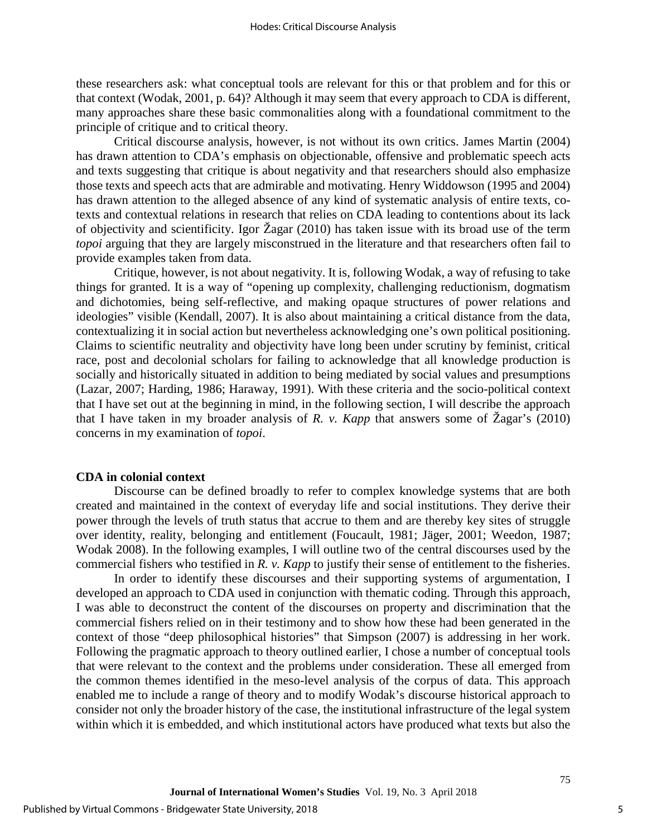these researchers ask: what conceptual tools are relevant for this or that problem and for this or that context (Wodak, 2001, p. 64)? Although it may seem that every approach to CDA is different, many approaches share these basic commonalities along with a foundational commitment to the principle of critique and to critical theory.

Critical discourse analysis, however, is not without its own critics. James Martin (2004) has drawn attention to CDA's emphasis on objectionable, offensive and problematic speech acts and texts suggesting that critique is about negativity and that researchers should also emphasize those texts and speech acts that are admirable and motivating. Henry Widdowson (1995 and 2004) has drawn attention to the alleged absence of any kind of systematic analysis of entire texts, cotexts and contextual relations in research that relies on CDA leading to contentions about its lack of objectivity and scientificity. Igor Žagar (2010) has taken issue with its broad use of the term *topoi* arguing that they are largely misconstrued in the literature and that researchers often fail to provide examples taken from data.

Critique, however, is not about negativity. It is, following Wodak, a way of refusing to take things for granted. It is a way of "opening up complexity, challenging reductionism, dogmatism and dichotomies, being self-reflective, and making opaque structures of power relations and ideologies" visible (Kendall, 2007). It is also about maintaining a critical distance from the data, contextualizing it in social action but nevertheless acknowledging one's own political positioning. Claims to scientific neutrality and objectivity have long been under scrutiny by feminist, critical race, post and decolonial scholars for failing to acknowledge that all knowledge production is socially and historically situated in addition to being mediated by social values and presumptions (Lazar, 2007; Harding, 1986; Haraway, 1991). With these criteria and the socio-political context that I have set out at the beginning in mind, in the following section, I will describe the approach that I have taken in my broader analysis of *R. v. Kapp* that answers some of Žagar's (2010) concerns in my examination of *topoi*.

#### **CDA in colonial context**

Discourse can be defined broadly to refer to complex knowledge systems that are both created and maintained in the context of everyday life and social institutions. They derive their power through the levels of truth status that accrue to them and are thereby key sites of struggle over identity, reality, belonging and entitlement (Foucault, 1981; Jäger, 2001; Weedon, 1987; Wodak 2008). In the following examples, I will outline two of the central discourses used by the commercial fishers who testified in *R. v. Kapp* to justify their sense of entitlement to the fisheries.

In order to identify these discourses and their supporting systems of argumentation, I developed an approach to CDA used in conjunction with thematic coding. Through this approach, I was able to deconstruct the content of the discourses on property and discrimination that the commercial fishers relied on in their testimony and to show how these had been generated in the context of those "deep philosophical histories" that Simpson (2007) is addressing in her work. Following the pragmatic approach to theory outlined earlier, I chose a number of conceptual tools that were relevant to the context and the problems under consideration. These all emerged from the common themes identified in the meso-level analysis of the corpus of data. This approach enabled me to include a range of theory and to modify Wodak's discourse historical approach to consider not only the broader history of the case, the institutional infrastructure of the legal system within which it is embedded, and which institutional actors have produced what texts but also the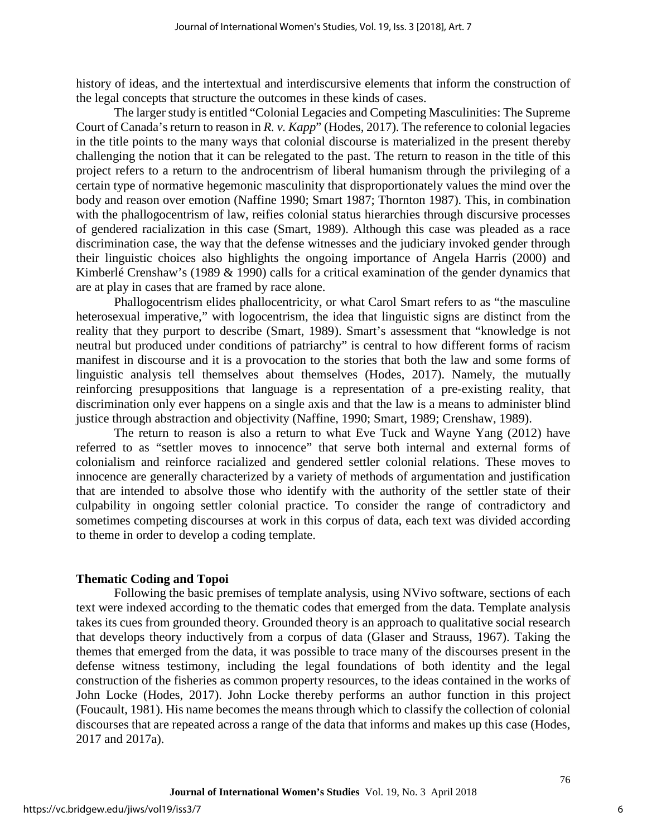history of ideas, and the intertextual and interdiscursive elements that inform the construction of the legal concepts that structure the outcomes in these kinds of cases.

The larger study is entitled "Colonial Legacies and Competing Masculinities: The Supreme Court of Canada's return to reason in *R. v. Kapp*" (Hodes, 2017). The reference to colonial legacies in the title points to the many ways that colonial discourse is materialized in the present thereby challenging the notion that it can be relegated to the past. The return to reason in the title of this project refers to a return to the androcentrism of liberal humanism through the privileging of a certain type of normative hegemonic masculinity that disproportionately values the mind over the body and reason over emotion (Naffine 1990; Smart 1987; Thornton 1987). This, in combination with the phallogocentrism of law, reifies colonial status hierarchies through discursive processes of gendered racialization in this case (Smart, 1989). Although this case was pleaded as a race discrimination case, the way that the defense witnesses and the judiciary invoked gender through their linguistic choices also highlights the ongoing importance of Angela Harris (2000) and Kimberlé Crenshaw's (1989 & 1990) calls for a critical examination of the gender dynamics that are at play in cases that are framed by race alone.

Phallogocentrism elides phallocentricity, or what Carol Smart refers to as "the masculine heterosexual imperative," with logocentrism, the idea that linguistic signs are distinct from the reality that they purport to describe (Smart, 1989). Smart's assessment that "knowledge is not neutral but produced under conditions of patriarchy" is central to how different forms of racism manifest in discourse and it is a provocation to the stories that both the law and some forms of linguistic analysis tell themselves about themselves (Hodes, 2017). Namely, the mutually reinforcing presuppositions that language is a representation of a pre-existing reality, that discrimination only ever happens on a single axis and that the law is a means to administer blind justice through abstraction and objectivity (Naffine, 1990; Smart, 1989; Crenshaw, 1989).

The return to reason is also a return to what Eve Tuck and Wayne Yang (2012) have referred to as "settler moves to innocence" that serve both internal and external forms of colonialism and reinforce racialized and gendered settler colonial relations. These moves to innocence are generally characterized by a variety of methods of argumentation and justification that are intended to absolve those who identify with the authority of the settler state of their culpability in ongoing settler colonial practice. To consider the range of contradictory and sometimes competing discourses at work in this corpus of data, each text was divided according to theme in order to develop a coding template.

## **Thematic Coding and Topoi**

Following the basic premises of template analysis, using NVivo software, sections of each text were indexed according to the thematic codes that emerged from the data. Template analysis takes its cues from grounded theory. Grounded theory is an approach to qualitative social research that develops theory inductively from a corpus of data (Glaser and Strauss, 1967). Taking the themes that emerged from the data, it was possible to trace many of the discourses present in the defense witness testimony, including the legal foundations of both identity and the legal construction of the fisheries as common property resources, to the ideas contained in the works of John Locke (Hodes, 2017). John Locke thereby performs an author function in this project (Foucault, 1981). His name becomes the means through which to classify the collection of colonial discourses that are repeated across a range of the data that informs and makes up this case (Hodes, 2017 and 2017a).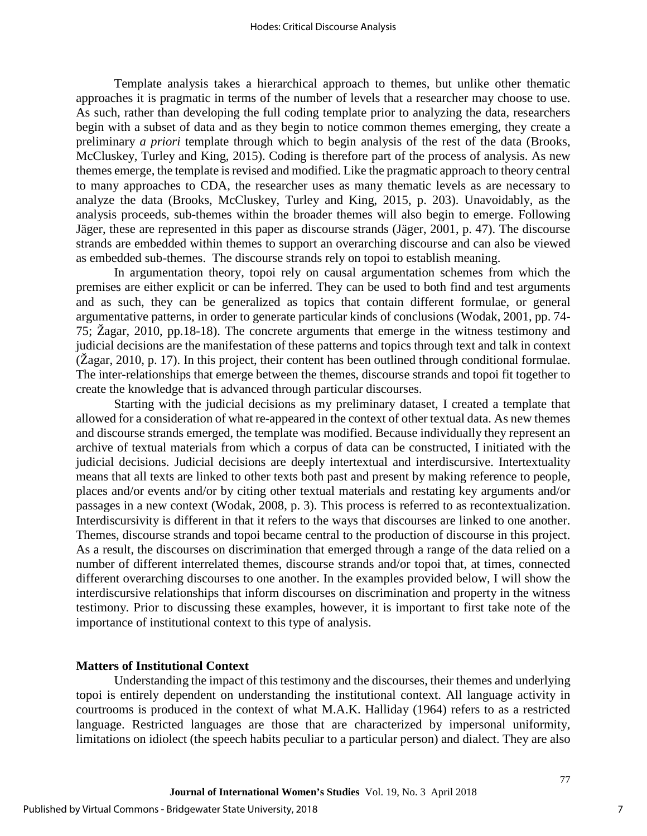Template analysis takes a hierarchical approach to themes, but unlike other thematic approaches it is pragmatic in terms of the number of levels that a researcher may choose to use. As such, rather than developing the full coding template prior to analyzing the data, researchers begin with a subset of data and as they begin to notice common themes emerging, they create a preliminary *a priori* template through which to begin analysis of the rest of the data (Brooks, McCluskey, Turley and King, 2015). Coding is therefore part of the process of analysis. As new themes emerge, the template is revised and modified. Like the pragmatic approach to theory central to many approaches to CDA, the researcher uses as many thematic levels as are necessary to analyze the data (Brooks, McCluskey, Turley and King, 2015, p. 203). Unavoidably, as the analysis proceeds, sub-themes within the broader themes will also begin to emerge. Following Jäger, these are represented in this paper as discourse strands (Jäger, 2001, p. 47). The discourse strands are embedded within themes to support an overarching discourse and can also be viewed as embedded sub-themes. The discourse strands rely on topoi to establish meaning.

In argumentation theory, topoi rely on causal argumentation schemes from which the premises are either explicit or can be inferred. They can be used to both find and test arguments and as such, they can be generalized as topics that contain different formulae, or general argumentative patterns, in order to generate particular kinds of conclusions (Wodak, 2001, pp. 74- 75; Žagar, 2010, pp.18-18). The concrete arguments that emerge in the witness testimony and judicial decisions are the manifestation of these patterns and topics through text and talk in context  $\check{\text{C}}$  (Žagar, 2010, p. 17). In this project, their content has been outlined through conditional formulae. The inter-relationships that emerge between the themes, discourse strands and topoi fit together to create the knowledge that is advanced through particular discourses.

Starting with the judicial decisions as my preliminary dataset, I created a template that allowed for a consideration of what re-appeared in the context of other textual data. As new themes and discourse strands emerged, the template was modified. Because individually they represent an archive of textual materials from which a corpus of data can be constructed, I initiated with the judicial decisions. Judicial decisions are deeply intertextual and interdiscursive. Intertextuality means that all texts are linked to other texts both past and present by making reference to people, places and/or events and/or by citing other textual materials and restating key arguments and/or passages in a new context (Wodak, 2008, p. 3). This process is referred to as recontextualization. Interdiscursivity is different in that it refers to the ways that discourses are linked to one another. Themes, discourse strands and topoi became central to the production of discourse in this project. As a result, the discourses on discrimination that emerged through a range of the data relied on a number of different interrelated themes, discourse strands and/or topoi that, at times, connected different overarching discourses to one another. In the examples provided below, I will show the interdiscursive relationships that inform discourses on discrimination and property in the witness testimony. Prior to discussing these examples, however, it is important to first take note of the importance of institutional context to this type of analysis.

#### **Matters of Institutional Context**

Understanding the impact of this testimony and the discourses, their themes and underlying topoi is entirely dependent on understanding the institutional context. All language activity in courtrooms is produced in the context of what M.A.K. Halliday (1964) refers to as a restricted language. Restricted languages are those that are characterized by impersonal uniformity, limitations on idiolect (the speech habits peculiar to a particular person) and dialect. They are also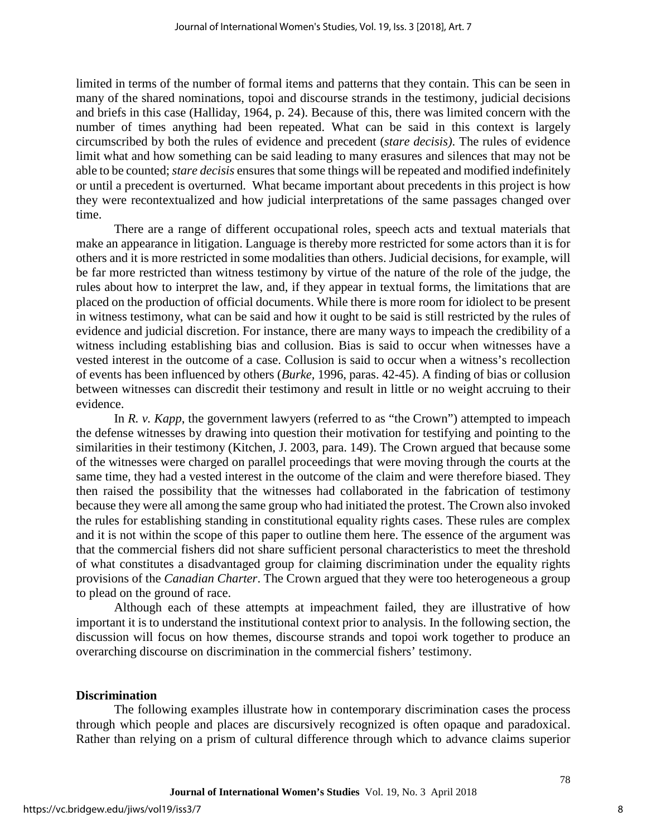limited in terms of the number of formal items and patterns that they contain. This can be seen in many of the shared nominations, topoi and discourse strands in the testimony, judicial decisions and briefs in this case (Halliday, 1964, p. 24). Because of this, there was limited concern with the number of times anything had been repeated. What can be said in this context is largely circumscribed by both the rules of evidence and precedent (*stare decisis)*. The rules of evidence limit what and how something can be said leading to many erasures and silences that may not be able to be counted;*stare decisis* ensures that some things will be repeated and modified indefinitely or until a precedent is overturned. What became important about precedents in this project is how they were recontextualized and how judicial interpretations of the same passages changed over time.

There are a range of different occupational roles, speech acts and textual materials that make an appearance in litigation. Language is thereby more restricted for some actors than it is for others and it is more restricted in some modalities than others. Judicial decisions, for example, will be far more restricted than witness testimony by virtue of the nature of the role of the judge, the rules about how to interpret the law, and, if they appear in textual forms, the limitations that are placed on the production of official documents. While there is more room for idiolect to be present in witness testimony, what can be said and how it ought to be said is still restricted by the rules of evidence and judicial discretion. For instance, there are many ways to impeach the credibility of a witness including establishing bias and collusion. Bias is said to occur when witnesses have a vested interest in the outcome of a case. Collusion is said to occur when a witness's recollection of events has been influenced by others (*Burke,* 1996, paras. 42-45). A finding of bias or collusion between witnesses can discredit their testimony and result in little or no weight accruing to their evidence.

In *R. v. Kapp*, the government lawyers (referred to as "the Crown") attempted to impeach the defense witnesses by drawing into question their motivation for testifying and pointing to the similarities in their testimony (Kitchen, J. 2003, para. 149). The Crown argued that because some of the witnesses were charged on parallel proceedings that were moving through the courts at the same time, they had a vested interest in the outcome of the claim and were therefore biased. They then raised the possibility that the witnesses had collaborated in the fabrication of testimony because they were all among the same group who had initiated the protest. The Crown also invoked the rules for establishing standing in constitutional equality rights cases. These rules are complex and it is not within the scope of this paper to outline them here. The essence of the argument was that the commercial fishers did not share sufficient personal characteristics to meet the threshold of what constitutes a disadvantaged group for claiming discrimination under the equality rights provisions of the *Canadian Charter*. The Crown argued that they were too heterogeneous a group to plead on the ground of race.

Although each of these attempts at impeachment failed, they are illustrative of how important it is to understand the institutional context prior to analysis. In the following section, the discussion will focus on how themes, discourse strands and topoi work together to produce an overarching discourse on discrimination in the commercial fishers' testimony.

#### **Discrimination**

The following examples illustrate how in contemporary discrimination cases the process through which people and places are discursively recognized is often opaque and paradoxical. Rather than relying on a prism of cultural difference through which to advance claims superior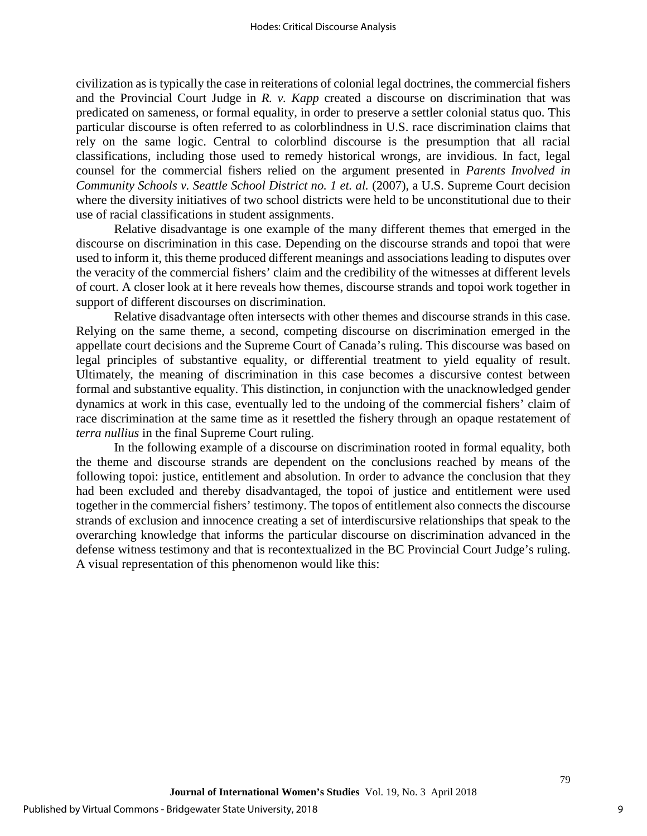civilization as is typically the case in reiterations of colonial legal doctrines, the commercial fishers and the Provincial Court Judge in *R. v. Kapp* created a discourse on discrimination that was predicated on sameness, or formal equality, in order to preserve a settler colonial status quo. This particular discourse is often referred to as colorblindness in U.S. race discrimination claims that rely on the same logic. Central to colorblind discourse is the presumption that all racial classifications, including those used to remedy historical wrongs, are invidious. In fact, legal counsel for the commercial fishers relied on the argument presented in *Parents Involved in Community Schools v. Seattle School District no. 1 et. al.* (2007), a U.S. Supreme Court decision where the diversity initiatives of two school districts were held to be unconstitutional due to their use of racial classifications in student assignments.

Relative disadvantage is one example of the many different themes that emerged in the discourse on discrimination in this case. Depending on the discourse strands and topoi that were used to inform it, this theme produced different meanings and associations leading to disputes over the veracity of the commercial fishers' claim and the credibility of the witnesses at different levels of court. A closer look at it here reveals how themes, discourse strands and topoi work together in support of different discourses on discrimination.

Relative disadvantage often intersects with other themes and discourse strands in this case. Relying on the same theme, a second, competing discourse on discrimination emerged in the appellate court decisions and the Supreme Court of Canada's ruling. This discourse was based on legal principles of substantive equality, or differential treatment to yield equality of result. Ultimately, the meaning of discrimination in this case becomes a discursive contest between formal and substantive equality. This distinction, in conjunction with the unacknowledged gender dynamics at work in this case, eventually led to the undoing of the commercial fishers' claim of race discrimination at the same time as it resettled the fishery through an opaque restatement of *terra nullius* in the final Supreme Court ruling.

In the following example of a discourse on discrimination rooted in formal equality, both the theme and discourse strands are dependent on the conclusions reached by means of the following topoi: justice, entitlement and absolution. In order to advance the conclusion that they had been excluded and thereby disadvantaged, the topoi of justice and entitlement were used together in the commercial fishers' testimony. The topos of entitlement also connects the discourse strands of exclusion and innocence creating a set of interdiscursive relationships that speak to the overarching knowledge that informs the particular discourse on discrimination advanced in the defense witness testimony and that is recontextualized in the BC Provincial Court Judge's ruling. A visual representation of this phenomenon would like this: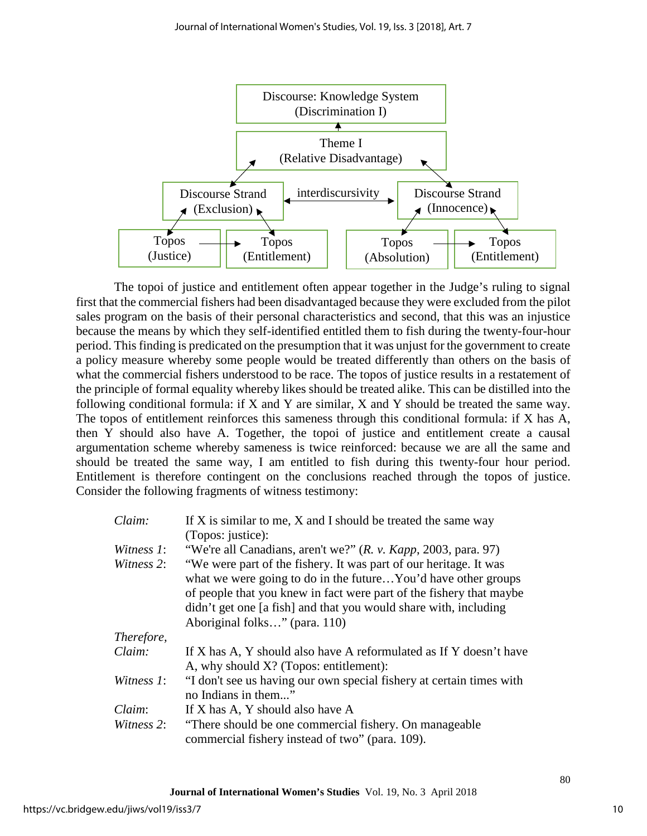

The topoi of justice and entitlement often appear together in the Judge's ruling to signal first that the commercial fishers had been disadvantaged because they were excluded from the pilot sales program on the basis of their personal characteristics and second, that this was an injustice because the means by which they self-identified entitled them to fish during the twenty-four-hour period. This finding is predicated on the presumption that it was unjust for the government to create a policy measure whereby some people would be treated differently than others on the basis of what the commercial fishers understood to be race. The topos of justice results in a restatement of the principle of formal equality whereby likes should be treated alike. This can be distilled into the following conditional formula: if X and Y are similar, X and Y should be treated the same way. The topos of entitlement reinforces this sameness through this conditional formula: if X has A, then Y should also have A. Together, the topoi of justice and entitlement create a causal argumentation scheme whereby sameness is twice reinforced: because we are all the same and should be treated the same way, I am entitled to fish during this twenty-four hour period. Entitlement is therefore contingent on the conclusions reached through the topos of justice. Consider the following fragments of witness testimony:

| Claim:     | If X is similar to me, X and I should be treated the same way                                                                                                                                                                                                                                                  |  |  |  |  |  |
|------------|----------------------------------------------------------------------------------------------------------------------------------------------------------------------------------------------------------------------------------------------------------------------------------------------------------------|--|--|--|--|--|
|            | (Topos: justice):                                                                                                                                                                                                                                                                                              |  |  |  |  |  |
| Witness 1: | "We're all Canadians, aren't we?" $(R. v. Kapp, 2003, para. 97)$                                                                                                                                                                                                                                               |  |  |  |  |  |
| Witness 2: | "We were part of the fishery. It was part of our heritage. It was<br>what we were going to do in the futureYou'd have other groups<br>of people that you knew in fact were part of the fishery that maybe<br>didn't get one [a fish] and that you would share with, including<br>Aboriginal folks" (para. 110) |  |  |  |  |  |
| Therefore, |                                                                                                                                                                                                                                                                                                                |  |  |  |  |  |
| Claim:     | If X has A, Y should also have A reformulated as If Y doesn't have<br>A, why should X? (Topos: entitlement):                                                                                                                                                                                                   |  |  |  |  |  |
| Witness 1: | "I don't see us having our own special fishery at certain times with<br>no Indians in them"                                                                                                                                                                                                                    |  |  |  |  |  |
| Claim:     | If X has A, Y should also have A                                                                                                                                                                                                                                                                               |  |  |  |  |  |
| Witness 2: | "There should be one commercial fishery. On manageable<br>commercial fishery instead of two" (para. 109).                                                                                                                                                                                                      |  |  |  |  |  |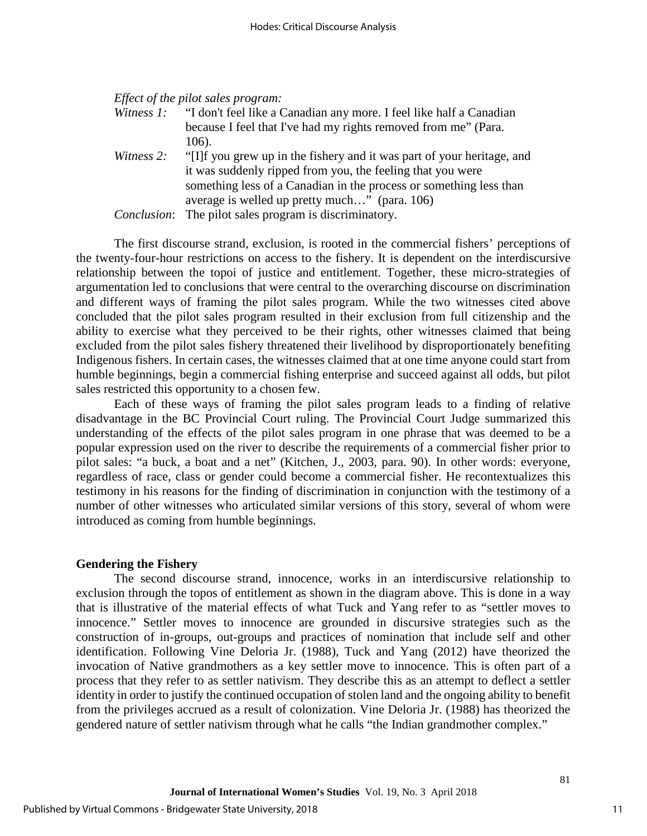#### *Effect of the pilot sales program:*

|            | <i>Witness 1:</i> "I don't feel like a Canadian any more. I feel like half a Canadian |  |  |  |
|------------|---------------------------------------------------------------------------------------|--|--|--|
|            | because I feel that I've had my rights removed from me" (Para.                        |  |  |  |
|            | 106).                                                                                 |  |  |  |
| Witness 2: | "[I] f you grew up in the fishery and it was part of your heritage, and               |  |  |  |
|            | it was suddenly ripped from you, the feeling that you were                            |  |  |  |
|            | something less of a Canadian in the process or something less than                    |  |  |  |
|            | average is welled up pretty much" (para. 106)                                         |  |  |  |
|            | <i>Conclusion</i> : The pilot sales program is discriminatory.                        |  |  |  |

The first discourse strand, exclusion, is rooted in the commercial fishers' perceptions of the twenty-four-hour restrictions on access to the fishery. It is dependent on the interdiscursive relationship between the topoi of justice and entitlement. Together, these micro-strategies of argumentation led to conclusions that were central to the overarching discourse on discrimination and different ways of framing the pilot sales program. While the two witnesses cited above concluded that the pilot sales program resulted in their exclusion from full citizenship and the ability to exercise what they perceived to be their rights, other witnesses claimed that being excluded from the pilot sales fishery threatened their livelihood by disproportionately benefiting Indigenous fishers. In certain cases, the witnesses claimed that at one time anyone could start from humble beginnings, begin a commercial fishing enterprise and succeed against all odds, but pilot sales restricted this opportunity to a chosen few.

Each of these ways of framing the pilot sales program leads to a finding of relative disadvantage in the BC Provincial Court ruling. The Provincial Court Judge summarized this understanding of the effects of the pilot sales program in one phrase that was deemed to be a popular expression used on the river to describe the requirements of a commercial fisher prior to pilot sales: "a buck, a boat and a net" (Kitchen, J., 2003, para. 90). In other words: everyone, regardless of race, class or gender could become a commercial fisher. He recontextualizes this testimony in his reasons for the finding of discrimination in conjunction with the testimony of a number of other witnesses who articulated similar versions of this story, several of whom were introduced as coming from humble beginnings.

#### **Gendering the Fishery**

The second discourse strand, innocence, works in an interdiscursive relationship to exclusion through the topos of entitlement as shown in the diagram above. This is done in a way that is illustrative of the material effects of what Tuck and Yang refer to as "settler moves to innocence." Settler moves to innocence are grounded in discursive strategies such as the construction of in-groups, out-groups and practices of nomination that include self and other identification. Following Vine Deloria Jr. (1988), Tuck and Yang (2012) have theorized the invocation of Native grandmothers as a key settler move to innocence. This is often part of a process that they refer to as settler nativism. They describe this as an attempt to deflect a settler identity in order to justify the continued occupation of stolen land and the ongoing ability to benefit from the privileges accrued as a result of colonization. Vine Deloria Jr. (1988) has theorized the gendered nature of settler nativism through what he calls "the Indian grandmother complex."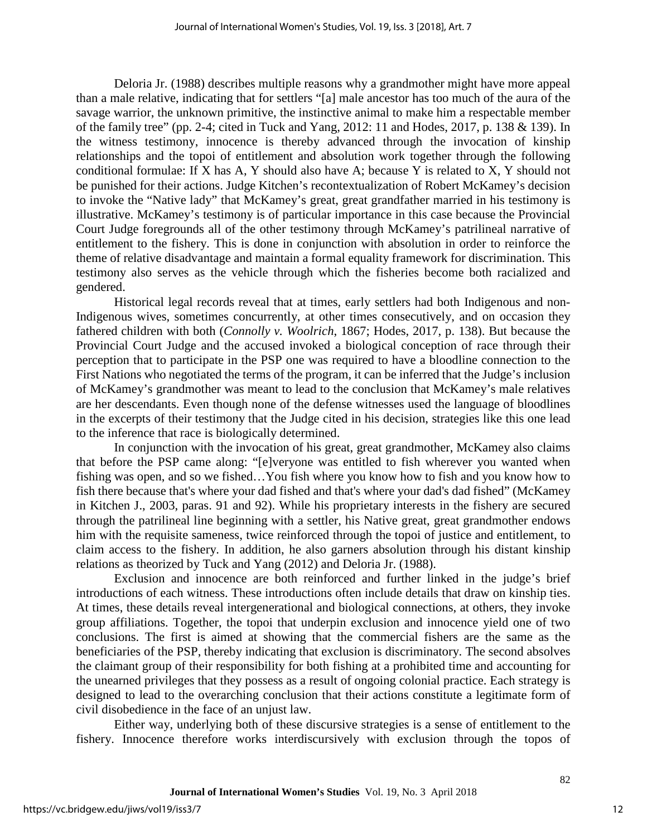Deloria Jr. (1988) describes multiple reasons why a grandmother might have more appeal than a male relative, indicating that for settlers "[a] male ancestor has too much of the aura of the savage warrior, the unknown primitive, the instinctive animal to make him a respectable member of the family tree" (pp. 2-4; cited in Tuck and Yang, 2012: 11 and Hodes, 2017, p. 138 & 139). In the witness testimony, innocence is thereby advanced through the invocation of kinship relationships and the topoi of entitlement and absolution work together through the following conditional formulae: If X has A, Y should also have A; because Y is related to X, Y should not be punished for their actions. Judge Kitchen's recontextualization of Robert McKamey's decision to invoke the "Native lady" that McKamey's great, great grandfather married in his testimony is illustrative. McKamey's testimony is of particular importance in this case because the Provincial Court Judge foregrounds all of the other testimony through McKamey's patrilineal narrative of entitlement to the fishery. This is done in conjunction with absolution in order to reinforce the theme of relative disadvantage and maintain a formal equality framework for discrimination. This testimony also serves as the vehicle through which the fisheries become both racialized and gendered.

Historical legal records reveal that at times, early settlers had both Indigenous and non-Indigenous wives, sometimes concurrently, at other times consecutively, and on occasion they fathered children with both (*Connolly v. Woolrich*, 1867; Hodes, 2017, p. 138). But because the Provincial Court Judge and the accused invoked a biological conception of race through their perception that to participate in the PSP one was required to have a bloodline connection to the First Nations who negotiated the terms of the program, it can be inferred that the Judge's inclusion of McKamey's grandmother was meant to lead to the conclusion that McKamey's male relatives are her descendants. Even though none of the defense witnesses used the language of bloodlines in the excerpts of their testimony that the Judge cited in his decision, strategies like this one lead to the inference that race is biologically determined.

In conjunction with the invocation of his great, great grandmother, McKamey also claims that before the PSP came along: "[e]veryone was entitled to fish wherever you wanted when fishing was open, and so we fished…You fish where you know how to fish and you know how to fish there because that's where your dad fished and that's where your dad's dad fished" (McKamey in Kitchen J., 2003, paras. 91 and 92). While his proprietary interests in the fishery are secured through the patrilineal line beginning with a settler, his Native great, great grandmother endows him with the requisite sameness, twice reinforced through the topoi of justice and entitlement, to claim access to the fishery. In addition, he also garners absolution through his distant kinship relations as theorized by Tuck and Yang (2012) and Deloria Jr. (1988).

Exclusion and innocence are both reinforced and further linked in the judge's brief introductions of each witness. These introductions often include details that draw on kinship ties. At times, these details reveal intergenerational and biological connections, at others, they invoke group affiliations. Together, the topoi that underpin exclusion and innocence yield one of two conclusions. The first is aimed at showing that the commercial fishers are the same as the beneficiaries of the PSP, thereby indicating that exclusion is discriminatory. The second absolves the claimant group of their responsibility for both fishing at a prohibited time and accounting for the unearned privileges that they possess as a result of ongoing colonial practice. Each strategy is designed to lead to the overarching conclusion that their actions constitute a legitimate form of civil disobedience in the face of an unjust law.

Either way, underlying both of these discursive strategies is a sense of entitlement to the fishery. Innocence therefore works interdiscursively with exclusion through the topos of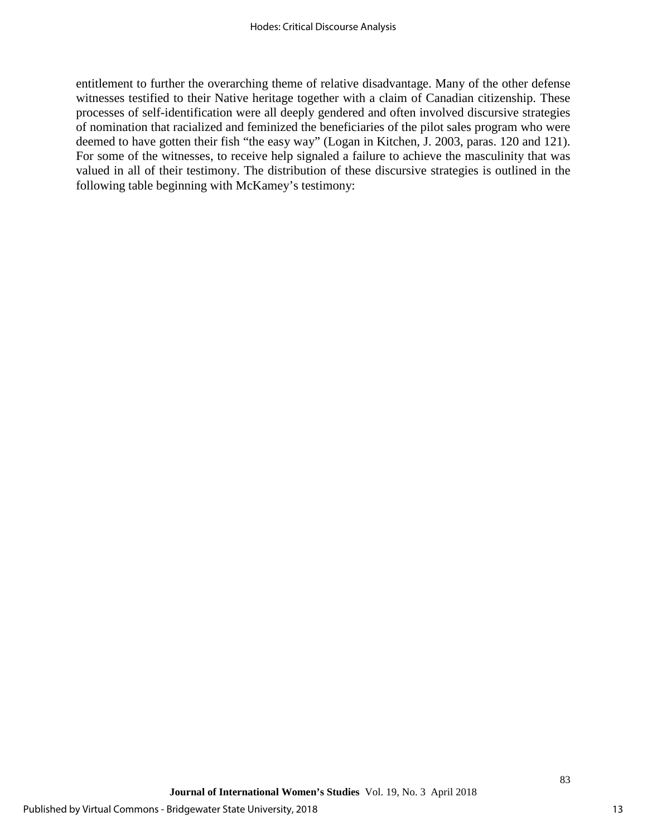entitlement to further the overarching theme of relative disadvantage. Many of the other defense witnesses testified to their Native heritage together with a claim of Canadian citizenship. These processes of self-identification were all deeply gendered and often involved discursive strategies of nomination that racialized and feminized the beneficiaries of the pilot sales program who were deemed to have gotten their fish "the easy way" (Logan in Kitchen, J. 2003, paras. 120 and 121). For some of the witnesses, to receive help signaled a failure to achieve the masculinity that was valued in all of their testimony. The distribution of these discursive strategies is outlined in the following table beginning with McKamey's testimony: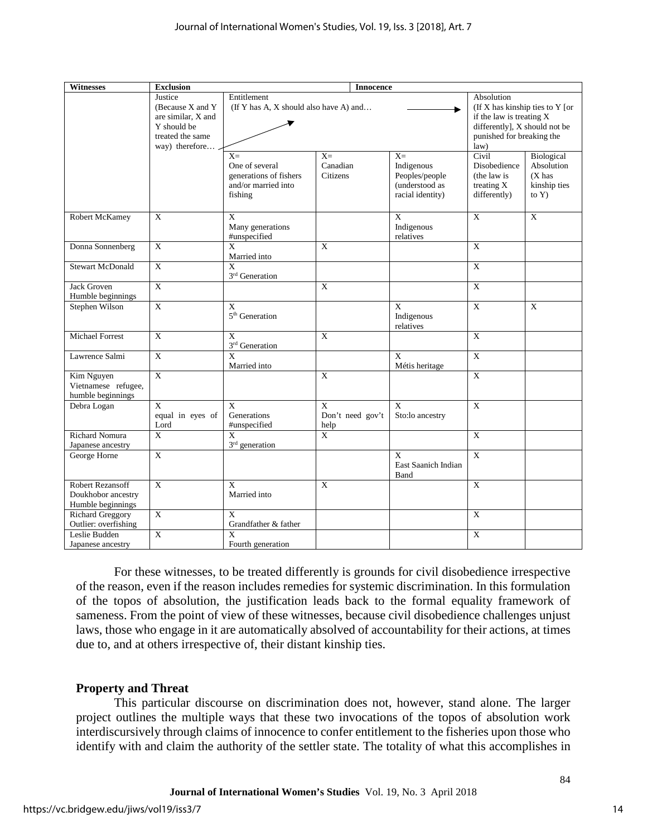| <b>Witnesses</b>                                            | <b>Exclusion</b>                                                                                       | <b>Innocence</b>                                                                   |                                          |                                                                             |                                                                                                                                                 |                                                                  |
|-------------------------------------------------------------|--------------------------------------------------------------------------------------------------------|------------------------------------------------------------------------------------|------------------------------------------|-----------------------------------------------------------------------------|-------------------------------------------------------------------------------------------------------------------------------------------------|------------------------------------------------------------------|
|                                                             | Justice<br>(Because X and Y<br>are similar, X and<br>Y should be<br>treated the same<br>way) therefore | Entitlement<br>(If Y has A, X should also have A) and                              |                                          |                                                                             | Absolution<br>(If X has kinship ties to Y [or<br>if the law is treating X<br>differently], X should not be<br>punished for breaking the<br>law) |                                                                  |
|                                                             |                                                                                                        | $X=$<br>One of several<br>generations of fishers<br>and/or married into<br>fishing | $X=$<br>Canadian<br>Citizens             | $X =$<br>Indigenous<br>Peoples/people<br>(understood as<br>racial identity) | Civil<br>Disobedience<br>(the law is<br>treating X<br>differently)                                                                              | Biological<br>Absolution<br>$(X$ has<br>kinship ties<br>to $Y$ ) |
| Robert McKamey                                              | $\mathbf{X}$                                                                                           | $\mathbf{x}$<br>Many generations<br>#unspecified                                   |                                          | $\mathbf{X}$<br>Indigenous<br>relatives                                     | $\mathbf X$                                                                                                                                     | $\mathbf X$                                                      |
| Donna Sonnenberg                                            | $\overline{X}$                                                                                         | $\mathbf{x}$<br>Married into                                                       | $\overline{X}$                           |                                                                             | $\overline{X}$                                                                                                                                  |                                                                  |
| <b>Stewart McDonald</b>                                     | $\mathbf{X}$                                                                                           | $\overline{\mathbf{x}}$<br>3 <sup>rd</sup> Generation                              |                                          |                                                                             | $\overline{X}$                                                                                                                                  |                                                                  |
| <b>Jack Groven</b><br>Humble beginnings                     | $\overline{X}$                                                                                         |                                                                                    | $\overline{X}$                           |                                                                             | $\overline{X}$                                                                                                                                  |                                                                  |
| Stephen Wilson                                              | $\overline{X}$                                                                                         | $\overline{X}$<br>5 <sup>th</sup> Generation                                       |                                          | $\overline{X}$<br>Indigenous<br>relatives                                   | $\overline{X}$                                                                                                                                  | $\overline{X}$                                                   |
| Michael Forrest                                             | $\mathbf X$                                                                                            | X<br>3 <sup>rd</sup> Generation                                                    | X                                        |                                                                             | $\mathbf X$                                                                                                                                     |                                                                  |
| Lawrence Salmi                                              | $\overline{X}$                                                                                         | $\overline{\mathbf{x}}$<br>Married into                                            |                                          | $\overline{X}$<br>Métis heritage                                            | $\overline{X}$                                                                                                                                  |                                                                  |
| Kim Nguyen<br>Vietnamese refugee,<br>humble beginnings      | $\overline{X}$                                                                                         |                                                                                    | $\overline{X}$                           |                                                                             | $\overline{X}$                                                                                                                                  |                                                                  |
| Debra Logan                                                 | $\overline{\mathbf{x}}$<br>equal in eyes of<br>Lord                                                    | $\overline{X}$<br>Generations<br>#unspecified                                      | $\mathbf{X}$<br>Don't need gov't<br>help | $\mathbf{X}$<br>Sto:lo ancestry                                             | $\overline{X}$                                                                                                                                  |                                                                  |
| Richard Nomura<br>Japanese ancestry                         | $\overline{X}$                                                                                         | X<br>$3rd$ generation                                                              | $\overline{X}$                           |                                                                             | $\overline{X}$                                                                                                                                  |                                                                  |
| George Horne                                                | $\overline{X}$                                                                                         |                                                                                    |                                          | X<br><b>East Saanich Indian</b><br>Band                                     | $\overline{X}$                                                                                                                                  |                                                                  |
| Robert Rezansoff<br>Doukhobor ancestry<br>Humble beginnings | $\mathbf X$                                                                                            | $\mathbf{x}$<br>Married into                                                       | X                                        |                                                                             | $\mathbf X$                                                                                                                                     |                                                                  |
| <b>Richard Greggory</b><br>Outlier: overfishing             | $\mathbf X$                                                                                            | X<br>Grandfather & father                                                          |                                          |                                                                             | $\mathbf X$                                                                                                                                     |                                                                  |
| Leslie Budden<br>Japanese ancestry                          | $\overline{X}$                                                                                         | X<br>Fourth generation                                                             |                                          |                                                                             | $\overline{X}$                                                                                                                                  |                                                                  |

For these witnesses, to be treated differently is grounds for civil disobedience irrespective of the reason, even if the reason includes remedies for systemic discrimination. In this formulation of the topos of absolution, the justification leads back to the formal equality framework of sameness. From the point of view of these witnesses, because civil disobedience challenges unjust laws, those who engage in it are automatically absolved of accountability for their actions, at times due to, and at others irrespective of, their distant kinship ties.

## **Property and Threat**

This particular discourse on discrimination does not, however, stand alone. The larger project outlines the multiple ways that these two invocations of the topos of absolution work interdiscursively through claims of innocence to confer entitlement to the fisheries upon those who identify with and claim the authority of the settler state. The totality of what this accomplishes in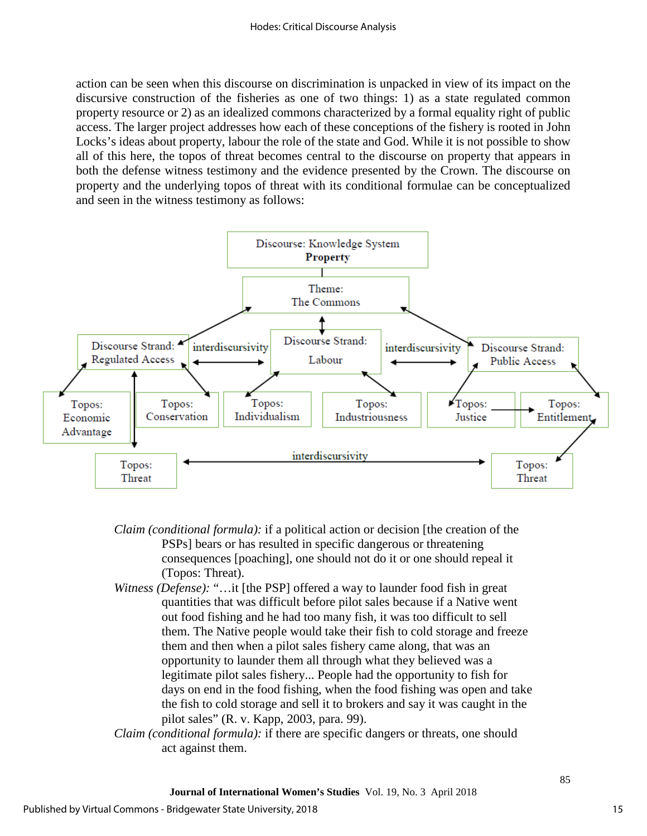action can be seen when this discourse on discrimination is unpacked in view of its impact on the discursive construction of the fisheries as one of two things: 1) as a state regulated common property resource or 2) as an idealized commons characterized by a formal equality right of public access. The larger project addresses how each of these conceptions of the fishery is rooted in John Locks's ideas about property, labour the role of the state and God. While it is not possible to show all of this here, the topos of threat becomes central to the discourse on property that appears in both the defense witness testimony and the evidence presented by the Crown. The discourse on property and the underlying topos of threat with its conditional formulae can be conceptualized and seen in the witness testimony as follows:



- *Claim (conditional formula):* if a political action or decision [the creation of the PSPs] bears or has resulted in specific dangerous or threatening consequences [poaching], one should not do it or one should repeal it (Topos: Threat).
- *Witness (Defense):* "...it [the PSP] offered a way to launder food fish in great quantities that was difficult before pilot sales because if a Native went out food fishing and he had too many fish, it was too difficult to sell them. The Native people would take their fish to cold storage and freeze them and then when a pilot sales fishery came along, that was an opportunity to launder them all through what they believed was a legitimate pilot sales fishery... People had the opportunity to fish for days on end in the food fishing, when the food fishing was open and take the fish to cold storage and sell it to brokers and say it was caught in the pilot sales" (R. v. Kapp, 2003, para. 99).
- *Claim (conditional formula):* if there are specific dangers or threats, one should act against them.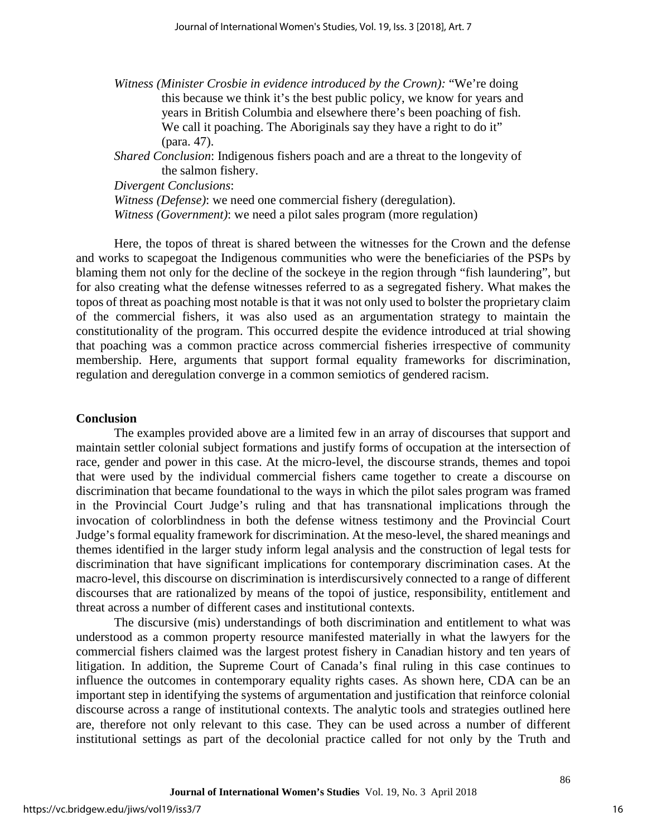*Witness (Minister Crosbie in evidence introduced by the Crown):* "We're doing this because we think it's the best public policy, we know for years and years in British Columbia and elsewhere there's been poaching of fish. We call it poaching. The Aboriginals say they have a right to do it" (para. 47).

*Shared Conclusion*: Indigenous fishers poach and are a threat to the longevity of the salmon fishery.

*Divergent Conclusions*:

*Witness (Defense)*: we need one commercial fishery (deregulation).

*Witness (Government)*: we need a pilot sales program (more regulation)

Here, the topos of threat is shared between the witnesses for the Crown and the defense and works to scapegoat the Indigenous communities who were the beneficiaries of the PSPs by blaming them not only for the decline of the sockeye in the region through "fish laundering", but for also creating what the defense witnesses referred to as a segregated fishery. What makes the topos of threat as poaching most notable is that it was not only used to bolster the proprietary claim of the commercial fishers, it was also used as an argumentation strategy to maintain the constitutionality of the program. This occurred despite the evidence introduced at trial showing that poaching was a common practice across commercial fisheries irrespective of community membership. Here, arguments that support formal equality frameworks for discrimination, regulation and deregulation converge in a common semiotics of gendered racism.

#### **Conclusion**

The examples provided above are a limited few in an array of discourses that support and maintain settler colonial subject formations and justify forms of occupation at the intersection of race, gender and power in this case. At the micro-level, the discourse strands, themes and topoi that were used by the individual commercial fishers came together to create a discourse on discrimination that became foundational to the ways in which the pilot sales program was framed in the Provincial Court Judge's ruling and that has transnational implications through the invocation of colorblindness in both the defense witness testimony and the Provincial Court Judge's formal equality framework for discrimination. At the meso-level, the shared meanings and themes identified in the larger study inform legal analysis and the construction of legal tests for discrimination that have significant implications for contemporary discrimination cases. At the macro-level, this discourse on discrimination is interdiscursively connected to a range of different discourses that are rationalized by means of the topoi of justice, responsibility, entitlement and threat across a number of different cases and institutional contexts.

The discursive (mis) understandings of both discrimination and entitlement to what was understood as a common property resource manifested materially in what the lawyers for the commercial fishers claimed was the largest protest fishery in Canadian history and ten years of litigation. In addition, the Supreme Court of Canada's final ruling in this case continues to influence the outcomes in contemporary equality rights cases. As shown here, CDA can be an important step in identifying the systems of argumentation and justification that reinforce colonial discourse across a range of institutional contexts. The analytic tools and strategies outlined here are, therefore not only relevant to this case. They can be used across a number of different institutional settings as part of the decolonial practice called for not only by the Truth and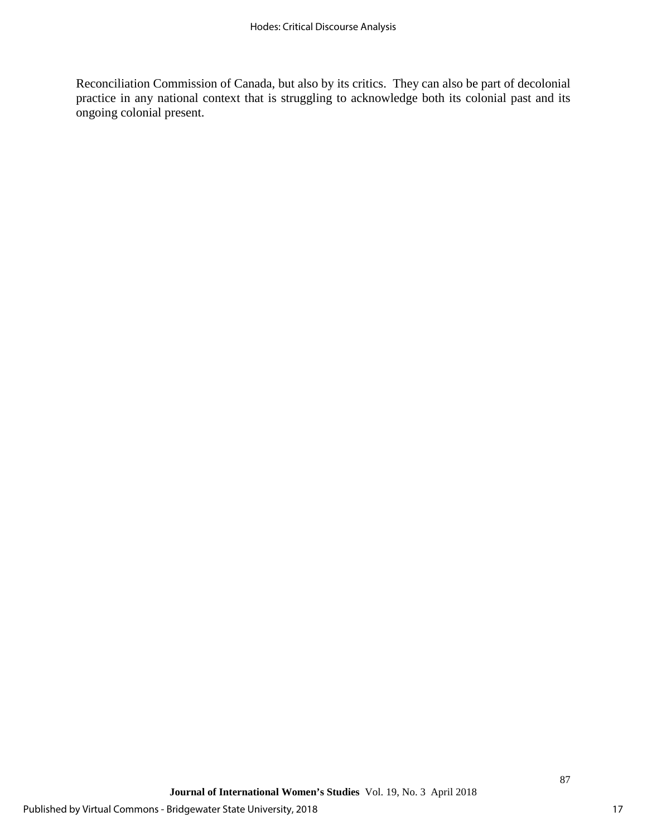Reconciliation Commission of Canada, but also by its critics. They can also be part of decolonial practice in any national context that is struggling to acknowledge both its colonial past and its ongoing colonial present.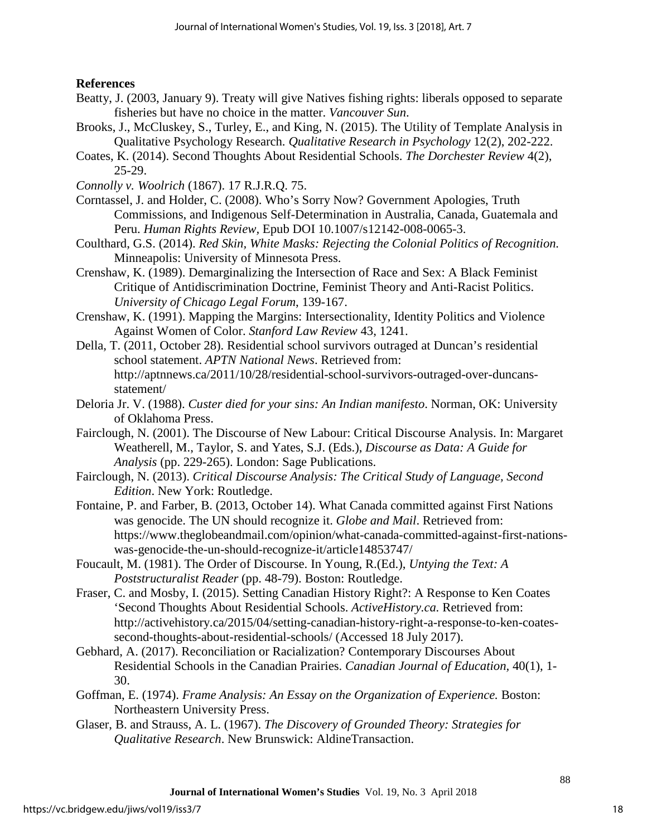## **References**

- Beatty, J. (2003, January 9). Treaty will give Natives fishing rights: liberals opposed to separate fisheries but have no choice in the matter. *Vancouver Sun*.
- Brooks, J., McCluskey, S., Turley, E., and King, N. (2015). The Utility of Template Analysis in Qualitative Psychology Research. *Qualitative Research in Psychology* 12(2), 202-222.
- Coates, K. (2014). Second Thoughts About Residential Schools. *The Dorchester Review* 4(2), 25-29.
- *Connolly v. Woolrich* (1867). 17 R.J.R.Q. 75.
- Corntassel, J. and Holder, C. (2008). Who's Sorry Now? Government Apologies, Truth Commissions, and Indigenous Self-Determination in Australia, Canada, Guatemala and Peru. *Human Rights Review,* Epub DOI 10.1007/s12142-008-0065-3.
- Coulthard, G.S. (2014). *Red Skin, White Masks: Rejecting the Colonial Politics of Recognition.*  Minneapolis: University of Minnesota Press.
- Crenshaw, K. (1989). Demarginalizing the Intersection of Race and Sex: A Black Feminist Critique of Antidiscrimination Doctrine, Feminist Theory and Anti-Racist Politics. *University of Chicago Legal Forum*, 139-167.
- Crenshaw, K. (1991). Mapping the Margins: Intersectionality, Identity Politics and Violence Against Women of Color. *Stanford Law Review* 43, 1241.
- Della, T. (2011, October 28). Residential school survivors outraged at Duncan's residential school statement. *APTN National News*. Retrieved from: http://aptnnews.ca/2011/10/28/residential-school-survivors-outraged-over-duncansstatement/
- Deloria Jr. V. (1988). *Custer died for your sins: An Indian manifesto*. Norman, OK: University of Oklahoma Press.
- Fairclough, N. (2001). The Discourse of New Labour: Critical Discourse Analysis. In: Margaret Weatherell, M., Taylor, S. and Yates, S.J. (Eds.), *Discourse as Data: A Guide for Analysis* (pp. 229-265). London: Sage Publications.
- Fairclough, N. (2013). *Critical Discourse Analysis: The Critical Study of Language, Second Edition*. New York: Routledge.
- Fontaine, P. and Farber, B. (2013, October 14). What Canada committed against First Nations was genocide. The UN should recognize it. *Globe and Mail*. Retrieved from: https://www.theglobeandmail.com/opinion/what-canada-committed-against-first-nationswas-genocide-the-un-should-recognize-it/article14853747/
- Foucault, M. (1981). The Order of Discourse. In Young, R.(Ed.), *Untying the Text: A Poststructuralist Reader* (pp. 48-79). Boston: Routledge.
- Fraser, C. and Mosby, I. (2015). Setting Canadian History Right?: A Response to Ken Coates 'Second Thoughts About Residential Schools. *ActiveHistory.ca.* Retrieved from: http://activehistory.ca/2015/04/setting-canadian-history-right-a-response-to-ken-coatessecond-thoughts-about-residential-schools/ (Accessed 18 July 2017).
- Gebhard, A. (2017). Reconciliation or Racialization? Contemporary Discourses About Residential Schools in the Canadian Prairies. *Canadian Journal of Education,* 40(1), 1- 30.
- Goffman, E. (1974). *Frame Analysis: An Essay on the Organization of Experience.* Boston: Northeastern University Press.
- Glaser, B. and Strauss, A. L. (1967). *The Discovery of Grounded Theory: Strategies for Qualitative Research*. New Brunswick: AldineTransaction.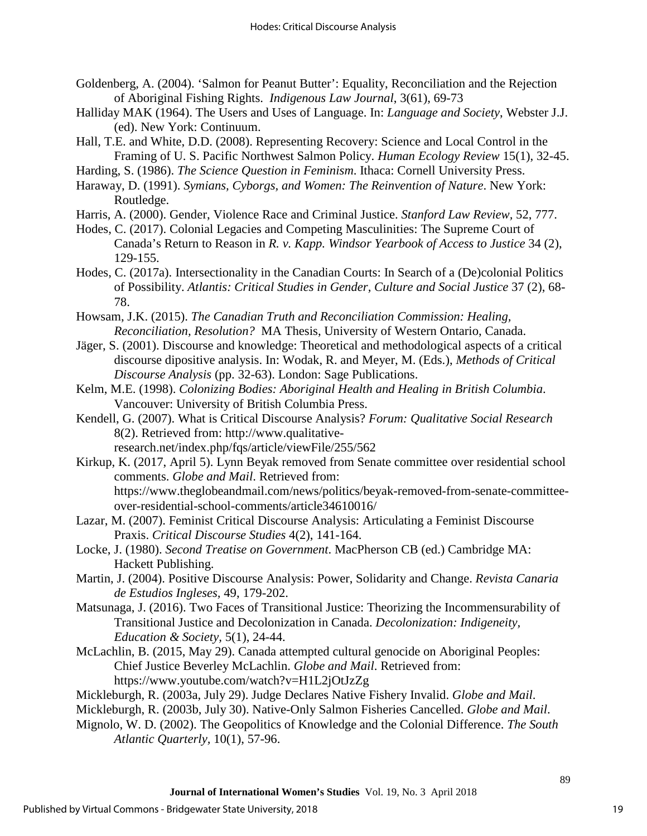Goldenberg, A. (2004). 'Salmon for Peanut Butter': Equality, Reconciliation and the Rejection of Aboriginal Fishing Rights. *Indigenous Law Journal*, 3(61), 69-73

- Halliday MAK (1964). The Users and Uses of Language. In: *Language and Society*, Webster J.J. (ed). New York: Continuum.
- Hall, T.E. and White, D.D. (2008). Representing Recovery: Science and Local Control in the Framing of U. S. Pacific Northwest Salmon Policy. *Human Ecology Review* 15(1), 32-45.

Harding, S. (1986). *The Science Question in Feminism*. Ithaca: Cornell University Press.

- Haraway, D. (1991). *Symians, Cyborgs, and Women: The Reinvention of Nature*. New York: Routledge.
- Harris, A. (2000). Gender, Violence Race and Criminal Justice. *Stanford Law Review,* 52, 777.
- Hodes, C. (2017). Colonial Legacies and Competing Masculinities: The Supreme Court of Canada's Return to Reason in *R. v. Kapp. Windsor Yearbook of Access to Justice* 34 (2), 129-155.
- Hodes, C. (2017a). Intersectionality in the Canadian Courts: In Search of a (De)colonial Politics of Possibility. *Atlantis: Critical Studies in Gender, Culture and Social Justice* 37 (2), 68- 78.
- Howsam, J.K. (2015). *The Canadian Truth and Reconciliation Commission: Healing, Reconciliation, Resolution?* MA Thesis, University of Western Ontario, Canada.
- Jäger, S. (2001). Discourse and knowledge: Theoretical and methodological aspects of a critical discourse dipositive analysis. In: Wodak, R. and Meyer, M. (Eds.), *Methods of Critical Discourse Analysis* (pp. 32-63). London: Sage Publications.
- Kelm, M.E. (1998). *Colonizing Bodies: Aboriginal Health and Healing in British Columbia*. Vancouver: University of British Columbia Press.
- Kendell, G. (2007). What is Critical Discourse Analysis? *Forum: Qualitative Social Research* 8(2). Retrieved from: http://www.qualitativeresearch.net/index.php/fqs/article/viewFile/255/562
- Kirkup, K. (2017, April 5). Lynn Beyak removed from Senate committee over residential school comments. *Globe and Mail*. Retrieved from:

https://www.theglobeandmail.com/news/politics/beyak-removed-from-senate-committeeover-residential-school-comments/article34610016/

- Lazar, M. (2007). Feminist Critical Discourse Analysis: Articulating a Feminist Discourse Praxis. *Critical Discourse Studies* 4(2), 141-164.
- Locke, J. (1980). *Second Treatise on Government*. MacPherson CB (ed.) Cambridge MA: Hackett Publishing.
- Martin, J. (2004). Positive Discourse Analysis: Power, Solidarity and Change. *Revista Canaria de Estudios Ingleses,* 49, 179-202.
- Matsunaga, J. (2016). Two Faces of Transitional Justice: Theorizing the Incommensurability of Transitional Justice and Decolonization in Canada. *Decolonization: Indigeneity, Education & Society,* 5(1), 24-44.
- McLachlin, B. (2015, May 29). Canada attempted cultural genocide on Aboriginal Peoples: Chief Justice Beverley McLachlin. *Globe and Mail*. Retrieved from: https://www.youtube.com/watch?v=H1L2jOtJzZg
- Mickleburgh, R. (2003a, July 29). Judge Declares Native Fishery Invalid. *Globe and Mail*.
- Mickleburgh, R. (2003b, July 30). Native-Only Salmon Fisheries Cancelled. *Globe and Mail*.
- Mignolo, W. D. (2002). The Geopolitics of Knowledge and the Colonial Difference. *The South Atlantic Quarterly,* 10(1), 57-96.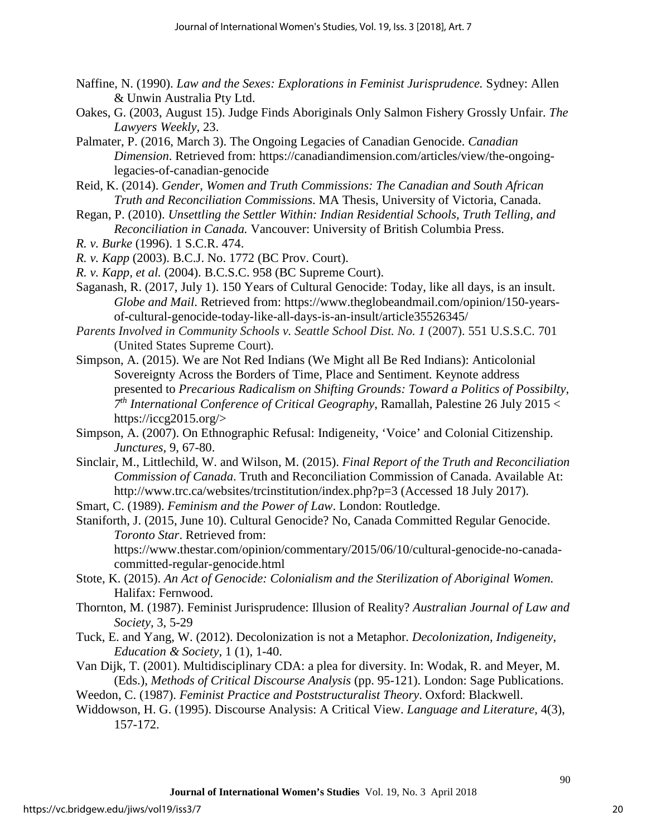- Naffine, N. (1990). *Law and the Sexes: Explorations in Feminist Jurisprudence.* Sydney: Allen & Unwin Australia Pty Ltd.
- Oakes, G. (2003, August 15). Judge Finds Aboriginals Only Salmon Fishery Grossly Unfair. *The Lawyers Weekly*, 23.
- Palmater, P. (2016, March 3). The Ongoing Legacies of Canadian Genocide. *Canadian Dimension*. Retrieved from: https://canadiandimension.com/articles/view/the-ongoinglegacies-of-canadian-genocide
- Reid, K. (2014). *Gender, Women and Truth Commissions: The Canadian and South African Truth and Reconciliation Commissions*. MA Thesis, University of Victoria, Canada.
- Regan, P. (2010). *Unsettling the Settler Within: Indian Residential Schools, Truth Telling, and Reconciliation in Canada.* Vancouver: University of British Columbia Press.
- *R. v. Burke* (1996). 1 S.C.R. 474.
- *R. v. Kapp* (2003). B.C.J. No. 1772 (BC Prov. Court).
- *R. v. Kapp, et al.* (2004). B.C.S.C. 958 (BC Supreme Court).
- Saganash, R. (2017, July 1). 150 Years of Cultural Genocide: Today, like all days, is an insult. *Globe and Mail*. Retrieved from: https://www.theglobeandmail.com/opinion/150-yearsof-cultural-genocide-today-like-all-days-is-an-insult/article35526345/
- *Parents Involved in Community Schools v. Seattle School Dist. No. 1* (2007). 551 U.S.S.C. 701 (United States Supreme Court).
- Simpson, A. (2015). We are Not Red Indians (We Might all Be Red Indians): Anticolonial Sovereignty Across the Borders of Time, Place and Sentiment*.* Keynote address presented to *Precarious Radicalism on Shifting Grounds: Toward a Politics of Possibilty, 7th International Conference of Critical Geography*, Ramallah, Palestine 26 July 2015 < https://iccg2015.org/>
- Simpson, A. (2007). On Ethnographic Refusal: Indigeneity, 'Voice' and Colonial Citizenship. *Junctures,* 9, 67-80.
- Sinclair, M., Littlechild, W. and Wilson, M. (2015). *Final Report of the Truth and Reconciliation Commission of Canada*. Truth and Reconciliation Commission of Canada. Available At: http://www.trc.ca/websites/trcinstitution/index.php?p=3 (Accessed 18 July 2017).
- Smart, C. (1989). *Feminism and the Power of Law*. London: Routledge.
- Staniforth, J. (2015, June 10). Cultural Genocide? No, Canada Committed Regular Genocide. *Toronto Star*. Retrieved from:

https://www.thestar.com/opinion/commentary/2015/06/10/cultural-genocide-no-canadacommitted-regular-genocide.html

- Stote, K. (2015). *An Act of Genocide: Colonialism and the Sterilization of Aboriginal Women.* Halifax: Fernwood.
- Thornton, M. (1987). Feminist Jurisprudence: Illusion of Reality? *Australian Journal of Law and Society,* 3, 5-29
- Tuck, E. and Yang, W. (2012). Decolonization is not a Metaphor. *Decolonization, Indigeneity, Education & Society,* 1 (1), 1-40.
- Van Dijk, T. (2001). Multidisciplinary CDA: a plea for diversity. In: Wodak, R. and Meyer, M. (Eds.), *Methods of Critical Discourse Analysis* (pp. 95-121). London: Sage Publications.
- Weedon, C. (1987). *Feminist Practice and Poststructuralist Theory*. Oxford: Blackwell.
- Widdowson, H. G. (1995). Discourse Analysis: A Critical View. *Language and Literature,* 4(3), 157-172.